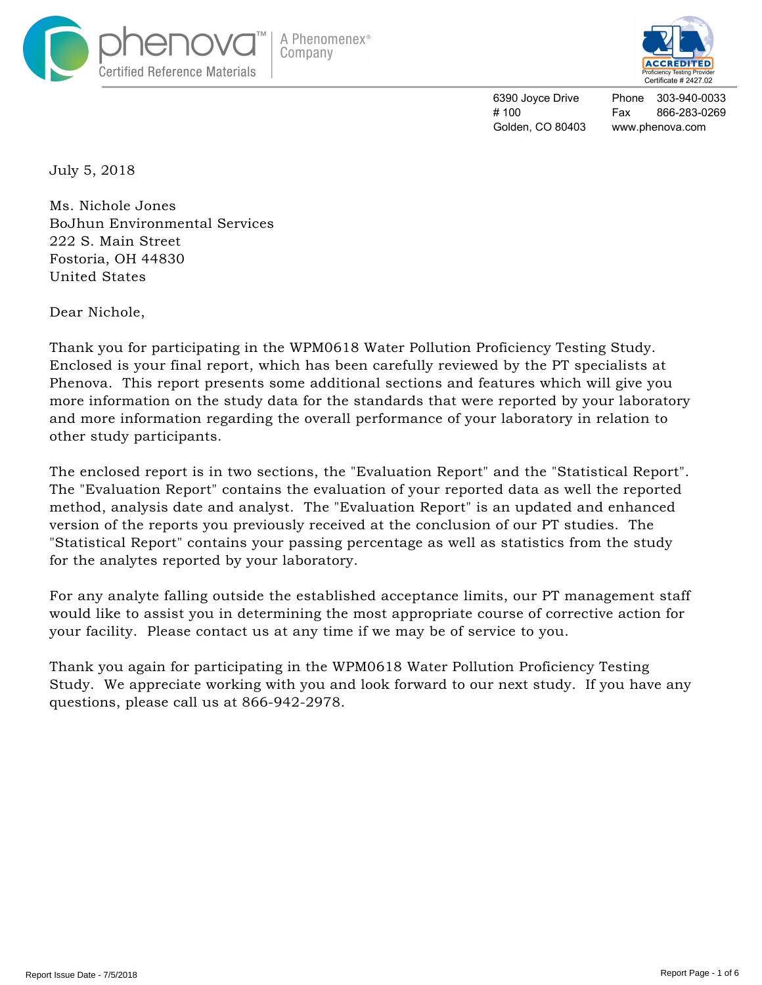



Phone 303-940-0033 Fax 866-283-0269 www.phenova.com

July 5, 2018

Ms. Nichole Jones BoJhun Environmental Services 222 S. Main Street Fostoria, OH 44830 United States

Dear Nichole,

Thank you for participating in the WPM0618 Water Pollution Proficiency Testing Study. Enclosed is your final report, which has been carefully reviewed by the PT specialists at Phenova. This report presents some additional sections and features which will give you more information on the study data for the standards that were reported by your laboratory and more information regarding the overall performance of your laboratory in relation to other study participants.

The enclosed report is in two sections, the "Evaluation Report" and the "Statistical Report". The "Evaluation Report" contains the evaluation of your reported data as well the reported method, analysis date and analyst. The "Evaluation Report" is an updated and enhanced version of the reports you previously received at the conclusion of our PT studies. The "Statistical Report" contains your passing percentage as well as statistics from the study for the analytes reported by your laboratory.

For any analyte falling outside the established acceptance limits, our PT management staff would like to assist you in determining the most appropriate course of corrective action for your facility. Please contact us at any time if we may be of service to you.

Thank you again for participating in the WPM0618 Water Pollution Proficiency Testing Study. We appreciate working with you and look forward to our next study. If you have any questions, please call us at 866-942-2978.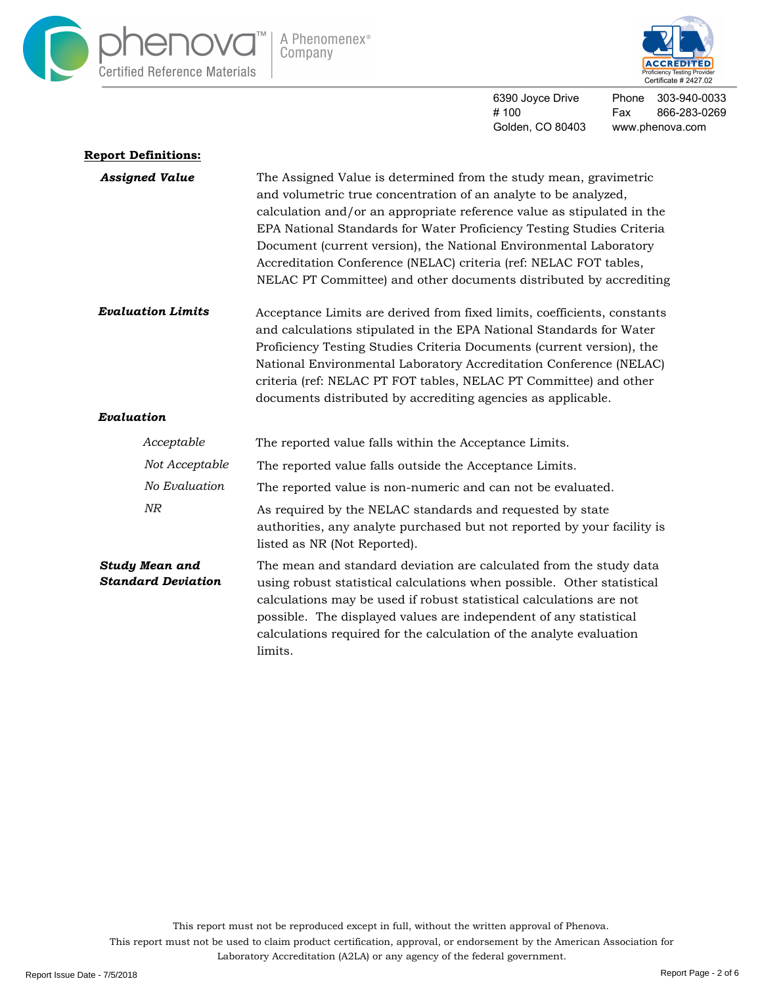



Phone 303-940-0033 Fax 866-283-0269 www.phenova.com

| <b>Report Definitions:</b>                         |                                                                                                                                                                                                                                                                                                                                                                                                                                                                                                                                                                                                                                                                                                                                                                                                                                                                                                                                                |  |  |  |  |
|----------------------------------------------------|------------------------------------------------------------------------------------------------------------------------------------------------------------------------------------------------------------------------------------------------------------------------------------------------------------------------------------------------------------------------------------------------------------------------------------------------------------------------------------------------------------------------------------------------------------------------------------------------------------------------------------------------------------------------------------------------------------------------------------------------------------------------------------------------------------------------------------------------------------------------------------------------------------------------------------------------|--|--|--|--|
| <b>Assigned Value</b>                              | The Assigned Value is determined from the study mean, gravimetric<br>and volumetric true concentration of an analyte to be analyzed,<br>calculation and/or an appropriate reference value as stipulated in the<br>EPA National Standards for Water Proficiency Testing Studies Criteria<br>Document (current version), the National Environmental Laboratory<br>Accreditation Conference (NELAC) criteria (ref: NELAC FOT tables,<br>NELAC PT Committee) and other documents distributed by accrediting<br>Acceptance Limits are derived from fixed limits, coefficients, constants<br>and calculations stipulated in the EPA National Standards for Water<br>Proficiency Testing Studies Criteria Documents (current version), the<br>National Environmental Laboratory Accreditation Conference (NELAC)<br>criteria (ref: NELAC PT FOT tables, NELAC PT Committee) and other<br>documents distributed by accrediting agencies as applicable. |  |  |  |  |
| <b>Evaluation Limits</b>                           |                                                                                                                                                                                                                                                                                                                                                                                                                                                                                                                                                                                                                                                                                                                                                                                                                                                                                                                                                |  |  |  |  |
| Evaluation                                         |                                                                                                                                                                                                                                                                                                                                                                                                                                                                                                                                                                                                                                                                                                                                                                                                                                                                                                                                                |  |  |  |  |
| Acceptable                                         | The reported value falls within the Acceptance Limits.                                                                                                                                                                                                                                                                                                                                                                                                                                                                                                                                                                                                                                                                                                                                                                                                                                                                                         |  |  |  |  |
| Not Acceptable                                     | The reported value falls outside the Acceptance Limits.                                                                                                                                                                                                                                                                                                                                                                                                                                                                                                                                                                                                                                                                                                                                                                                                                                                                                        |  |  |  |  |
| No Evaluation                                      | The reported value is non-numeric and can not be evaluated.                                                                                                                                                                                                                                                                                                                                                                                                                                                                                                                                                                                                                                                                                                                                                                                                                                                                                    |  |  |  |  |
| NR                                                 | As required by the NELAC standards and requested by state<br>authorities, any analyte purchased but not reported by your facility is<br>listed as NR (Not Reported).                                                                                                                                                                                                                                                                                                                                                                                                                                                                                                                                                                                                                                                                                                                                                                           |  |  |  |  |
| <b>Study Mean and</b><br><b>Standard Deviation</b> | The mean and standard deviation are calculated from the study data<br>using robust statistical calculations when possible. Other statistical<br>calculations may be used if robust statistical calculations are not<br>possible. The displayed values are independent of any statistical<br>calculations required for the calculation of the analyte evaluation<br>limits.                                                                                                                                                                                                                                                                                                                                                                                                                                                                                                                                                                     |  |  |  |  |

This report must not be reproduced except in full, without the written approval of Phenova.

This report must not be used to claim product certification, approval, or endorsement by the American Association for

Laboratory Accreditation (A2LA) or any agency of the federal government.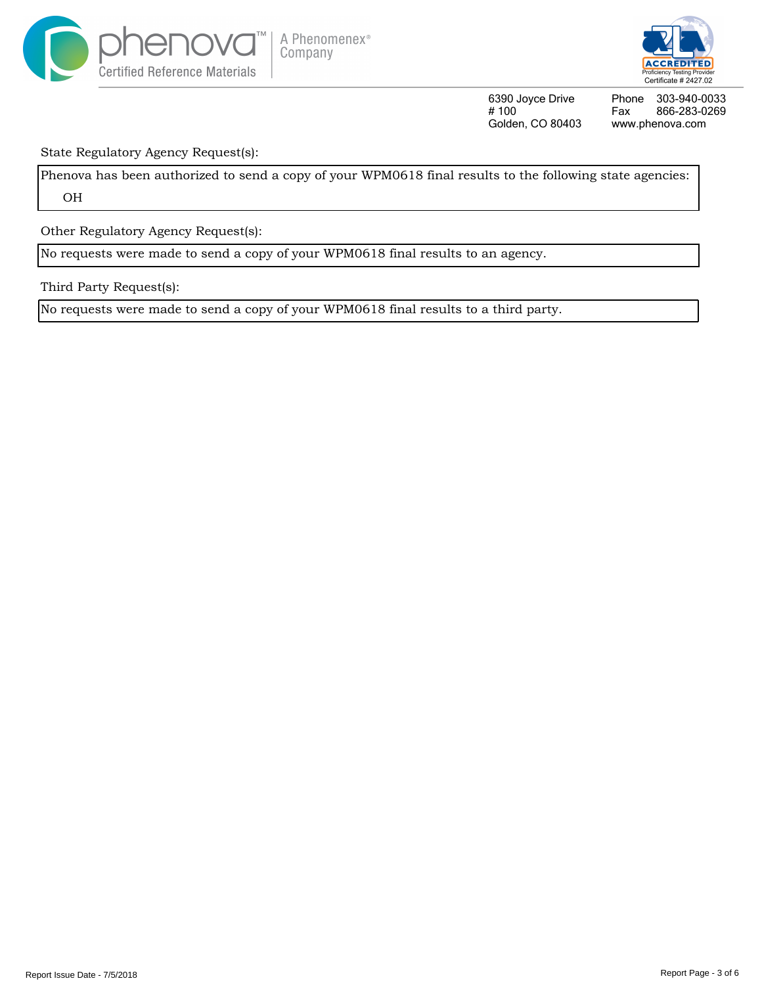



Phone Fax www.phenova.com 303-940-0033 866-283-0269

State Regulatory Agency Request(s):

Phenova has been authorized to send a copy of your WPM0618 final results to the following state agencies: OH

Other Regulatory Agency Request(s):

No requests were made to send a copy of your WPM0618 final results to an agency.

Third Party Request(s):

No requests were made to send a copy of your WPM0618 final results to a third party.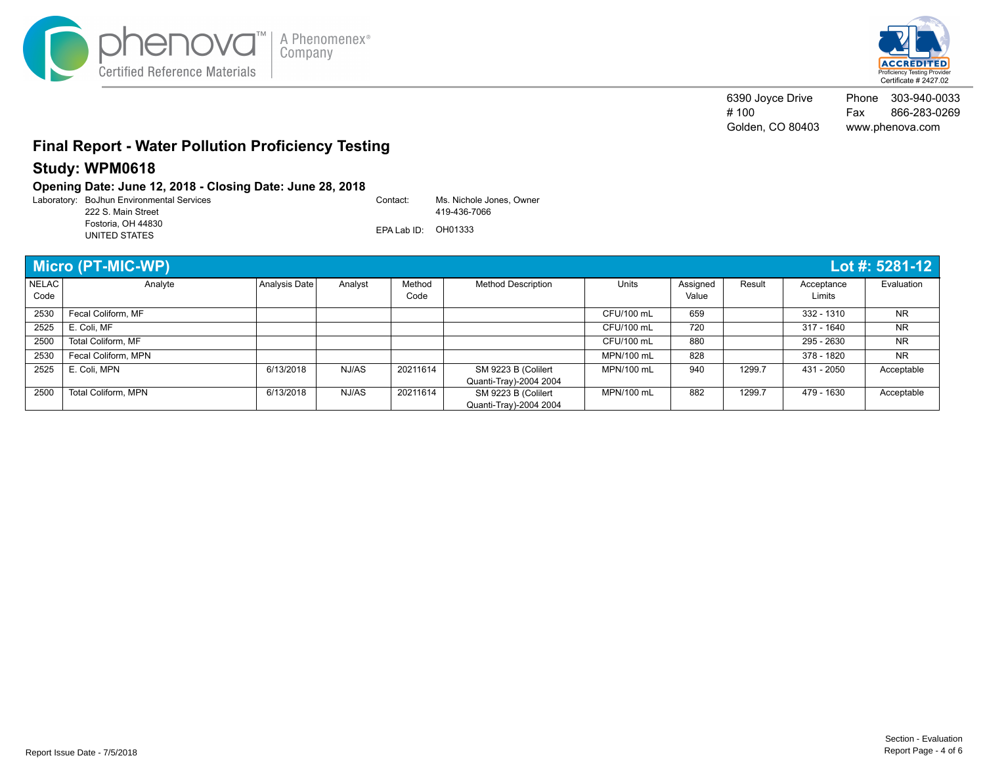



6390 Joyce Drive # 100 Golden, CO 80403 Phone 303-940-0033 Fax 866-283-0269 www.phenova.com

## **Final Report - Water Pollution Proficiency Testing**

### **Study: WPM0618**

### **Opening Date: June 12, 2018 - Closing Date: June 28, 2018**

Laboratory: Contact: BoJhun Environmental Services EPA Lab ID: OH01333 Ms. Nichole Jones, Owner 419-436-7066 222 S. Main Street Fostoria, OH 44830 UNITED STATES

|                      | <b>Micro (PT-MIC-WP)</b><br>Lot #: 5281-12 |               |         |                |                           |            |                   |        |                      |            |
|----------------------|--------------------------------------------|---------------|---------|----------------|---------------------------|------------|-------------------|--------|----------------------|------------|
| <b>NELAC</b><br>Code | Analyte                                    | Analysis Date | Analyst | Method<br>Code | <b>Method Description</b> | Units      | Assigned<br>Value | Result | Acceptance<br>Limits | Evaluation |
|                      |                                            |               |         |                |                           |            |                   |        |                      |            |
| 2530                 | Fecal Coliform, MF                         |               |         |                |                           | CFU/100 mL | 659               |        | 332 - 1310           | <b>NR</b>  |
| 2525                 | E. Coli, MF                                |               |         |                |                           | CFU/100 mL | 720               |        | 317 - 1640           | <b>NR</b>  |
| 2500                 | Total Coliform, MF                         |               |         |                |                           | CFU/100 mL | 880               |        | 295 - 2630           | <b>NR</b>  |
| 2530                 | Fecal Coliform, MPN                        |               |         |                |                           | MPN/100 mL | 828               |        | 378 - 1820           | <b>NR</b>  |
| 2525                 | E. Coli, MPN                               | 6/13/2018     | NJ/AS   | 20211614       | SM 9223 B (Colilert       | MPN/100 mL | 940               | 1299.7 | 431 - 2050           | Acceptable |
|                      |                                            |               |         |                | Quanti-Tray)-2004 2004    |            |                   |        |                      |            |
| 2500                 | <b>Total Coliform, MPN</b>                 | 6/13/2018     | NJ/AS   | 20211614       | SM 9223 B (Colilert       | MPN/100 mL | 882               | 1299.7 | 479 - 1630           | Acceptable |
|                      |                                            |               |         |                | Quanti-Tray)-2004 2004    |            |                   |        |                      |            |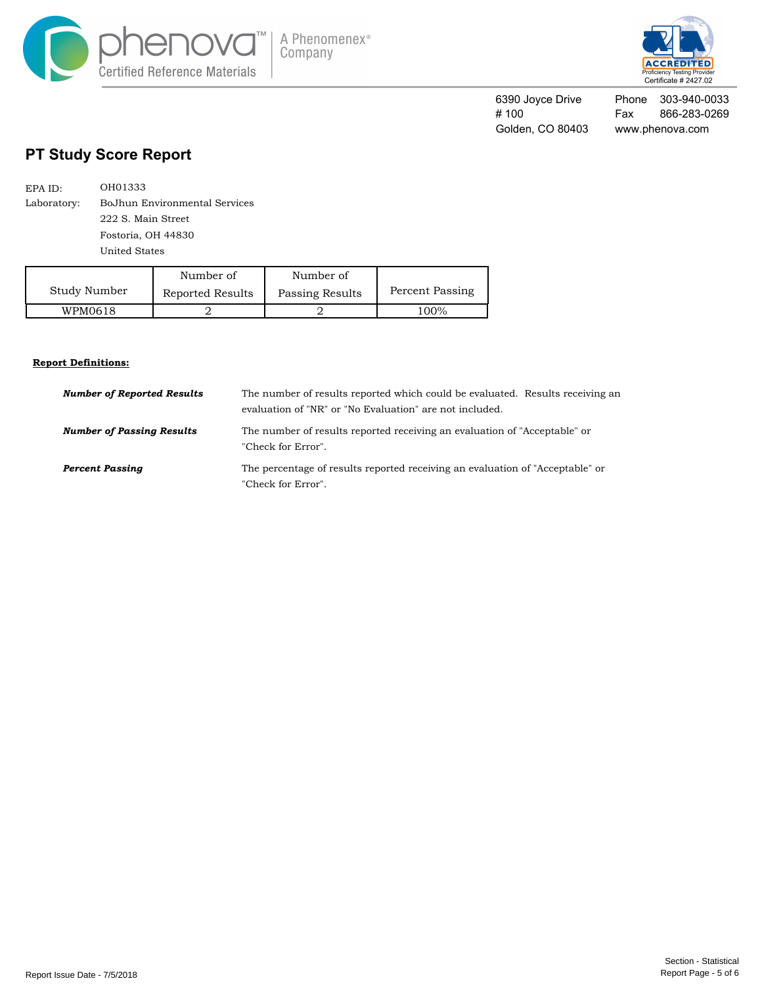



Phone 303-940-0033 Fax 866-283-0269 www.phenova.com 6390 Joyce Drive # 100 Golden, CO 80403

## **PT Study Score Report**

| EPA ID:     | OH01333                       |
|-------------|-------------------------------|
| Laboratory: | BoJhun Environmental Services |
|             | 222 S. Main Street            |
|             | Fostoria, OH 44830            |
|             | United States                 |

|              | Number of        | Number of       |      |
|--------------|------------------|-----------------|------|
| Study Number | Reported Results | Passing Results |      |
| WPM0618      |                  |                 | 100% |

#### **Report Definitions:**

| <b>Number of Reported Results</b> | The number of results reported which could be evaluated. Results receiving an<br>evaluation of "NR" or "No Evaluation" are not included. |
|-----------------------------------|------------------------------------------------------------------------------------------------------------------------------------------|
| <b>Number of Passing Results</b>  | The number of results reported receiving an evaluation of "Acceptable" or<br>"Check for Error".                                          |
| <b>Percent Passing</b>            | The percentage of results reported receiving an evaluation of "Acceptable" or<br>"Check for Error".                                      |